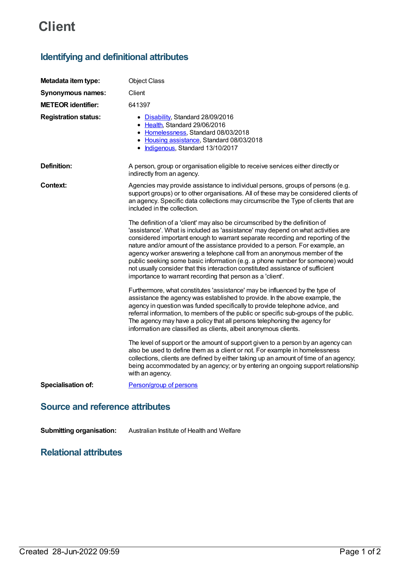# **Client**

## **Identifying and definitional attributes**

| Metadata item type:                    | <b>Object Class</b>                                                                                                                                                                                                                                                                                                                                                                                                                                                                                                                                                                                                                             |
|----------------------------------------|-------------------------------------------------------------------------------------------------------------------------------------------------------------------------------------------------------------------------------------------------------------------------------------------------------------------------------------------------------------------------------------------------------------------------------------------------------------------------------------------------------------------------------------------------------------------------------------------------------------------------------------------------|
| <b>Synonymous names:</b>               | Client                                                                                                                                                                                                                                                                                                                                                                                                                                                                                                                                                                                                                                          |
| <b>METEOR identifier:</b>              | 641397                                                                                                                                                                                                                                                                                                                                                                                                                                                                                                                                                                                                                                          |
| <b>Registration status:</b>            | • Disability, Standard 28/09/2016<br>• Health, Standard 29/06/2016<br>• Homelessness, Standard 08/03/2018<br>• Housing assistance, Standard 08/03/2018<br>• Indigenous, Standard 13/10/2017                                                                                                                                                                                                                                                                                                                                                                                                                                                     |
| <b>Definition:</b>                     | A person, group or organisation eligible to receive services either directly or<br>indirectly from an agency.                                                                                                                                                                                                                                                                                                                                                                                                                                                                                                                                   |
| Context:                               | Agencies may provide assistance to individual persons, groups of persons (e.g.<br>support groups) or to other organisations. All of these may be considered clients of<br>an agency. Specific data collections may circumscribe the Type of clients that are<br>included in the collection.                                                                                                                                                                                                                                                                                                                                                     |
|                                        | The definition of a 'client' may also be circumscribed by the definition of<br>'assistance'. What is included as 'assistance' may depend on what activities are<br>considered important enough to warrant separate recording and reporting of the<br>nature and/or amount of the assistance provided to a person. For example, an<br>agency worker answering a telephone call from an anonymous member of the<br>public seeking some basic information (e.g. a phone number for someone) would<br>not usually consider that this interaction constituted assistance of sufficient<br>importance to warrant recording that person as a 'client'. |
|                                        | Furthermore, what constitutes 'assistance' may be influenced by the type of<br>assistance the agency was established to provide. In the above example, the<br>agency in question was funded specifically to provide telephone advice, and<br>referral information, to members of the public or specific sub-groups of the public.<br>The agency may have a policy that all persons telephoning the agency for<br>information are classified as clients, albeit anonymous clients.                                                                                                                                                               |
|                                        | The level of support or the amount of support given to a person by an agency can<br>also be used to define them as a client or not. For example in homelessness<br>collections, clients are defined by either taking up an amount of time of an agency;<br>being accommodated by an agency; or by entering an ongoing support relationship<br>with an agency.                                                                                                                                                                                                                                                                                   |
| Specialisation of:                     | Person/group of persons                                                                                                                                                                                                                                                                                                                                                                                                                                                                                                                                                                                                                         |
| <b>Source and reference attributes</b> |                                                                                                                                                                                                                                                                                                                                                                                                                                                                                                                                                                                                                                                 |

**Submitting organisation:** Australian Institute of Health and Welfare

### **Relational attributes**